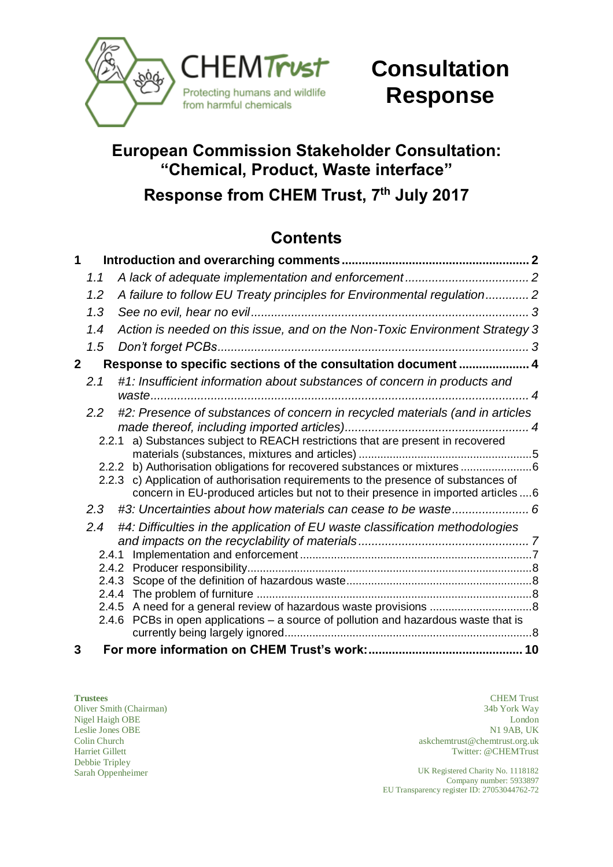

# **Consultation Response**

# **European Commission Stakeholder Consultation: "Chemical, Product, Waste interface"**

**Response from CHEM Trust, 7 th July 2017**

## **Contents**

| 1           |     |                                                                                                                                                                                                                                                       |  |
|-------------|-----|-------------------------------------------------------------------------------------------------------------------------------------------------------------------------------------------------------------------------------------------------------|--|
|             | 1.1 |                                                                                                                                                                                                                                                       |  |
|             | 1.2 | A failure to follow EU Treaty principles for Environmental regulation 2                                                                                                                                                                               |  |
|             | 1.3 |                                                                                                                                                                                                                                                       |  |
|             | 1.4 | Action is needed on this issue, and on the Non-Toxic Environment Strategy 3                                                                                                                                                                           |  |
|             | 1.5 |                                                                                                                                                                                                                                                       |  |
| $\mathbf 2$ |     | Response to specific sections of the consultation document  4                                                                                                                                                                                         |  |
|             | 2.1 | #1: Insufficient information about substances of concern in products and                                                                                                                                                                              |  |
|             | 2.2 | #2: Presence of substances of concern in recycled materials (and in articles                                                                                                                                                                          |  |
|             |     | 2.2.1 a) Substances subject to REACH restrictions that are present in recovered                                                                                                                                                                       |  |
|             |     | 2.2.2 b) Authorisation obligations for recovered substances or mixtures 6<br>2.2.3 c) Application of authorisation requirements to the presence of substances of<br>concern in EU-produced articles but not to their presence in imported articles  6 |  |
|             | 2.3 |                                                                                                                                                                                                                                                       |  |
|             | 2.4 | #4: Difficulties in the application of EU waste classification methodologies                                                                                                                                                                          |  |
|             |     |                                                                                                                                                                                                                                                       |  |
|             |     |                                                                                                                                                                                                                                                       |  |
|             |     |                                                                                                                                                                                                                                                       |  |
|             |     |                                                                                                                                                                                                                                                       |  |
|             |     | 2.4.6 PCBs in open applications - a source of pollution and hazardous waste that is                                                                                                                                                                   |  |
|             |     |                                                                                                                                                                                                                                                       |  |
| 3           |     |                                                                                                                                                                                                                                                       |  |

Leslie Jones OBE Colin Church Harriet Gillett Debbie Tripley

**Trustees** CHEM Trust Oliver Smith (Chairman) 34b York Way Nigel Haigh OBE London N1 9AB, UK askchemtrust@chemtrust.org.uk Twitter: @CHEMTrust

Sarah Oppenheimer UK Registered Charity No. 1118182 Company number: 5933897 EU Transparency register ID: 27053044762-72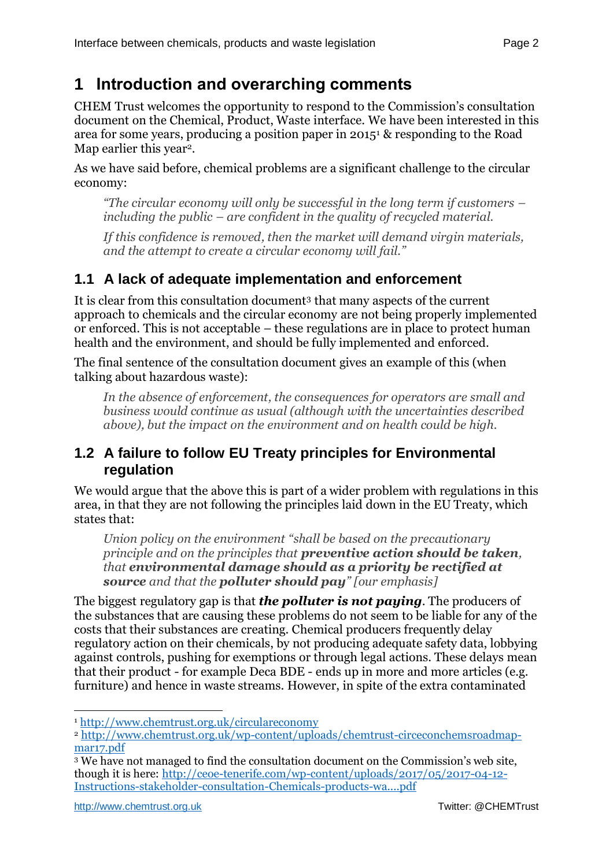## <span id="page-1-0"></span>**1 Introduction and overarching comments**

CHEM Trust welcomes the opportunity to respond to the Commission's consultation document on the Chemical, Product, Waste interface. We have been interested in this area for some years, producing a position paper in 2015<sup>1</sup> & responding to the Road Map earlier this year<sup>2</sup>.

As we have said before, chemical problems are a significant challenge to the circular economy:

*"The circular economy will only be successful in the long term if customers – including the public – are confident in the quality of recycled material.*

*If this confidence is removed, then the market will demand virgin materials, and the attempt to create a circular economy will fail."*

## <span id="page-1-1"></span>**1.1 A lack of adequate implementation and enforcement**

It is clear from this consultation document<sup>3</sup> that many aspects of the current approach to chemicals and the circular economy are not being properly implemented or enforced. This is not acceptable – these regulations are in place to protect human health and the environment, and should be fully implemented and enforced.

The final sentence of the consultation document gives an example of this (when talking about hazardous waste):

*In the absence of enforcement, the consequences for operators are small and business would continue as usual (although with the uncertainties described above), but the impact on the environment and on health could be high.* 

## <span id="page-1-2"></span>**1.2 A failure to follow EU Treaty principles for Environmental regulation**

We would argue that the above this is part of a wider problem with regulations in this area, in that they are not following the principles laid down in the EU Treaty, which states that:

*Union policy on the environment "shall be based on the precautionary principle and on the principles that preventive action should be taken, that environmental damage should as a priority be rectified at source and that the polluter should pay" [our emphasis]*

The biggest regulatory gap is that *the polluter is not paying*. The producers of the substances that are causing these problems do not seem to be liable for any of the costs that their substances are creating. Chemical producers frequently delay regulatory action on their chemicals, by not producing adequate safety data, lobbying against controls, pushing for exemptions or through legal actions. These delays mean that their product - for example Deca BDE - ends up in more and more articles (e.g. furniture) and hence in waste streams. However, in spite of the extra contaminated

 $\overline{a}$ 

<sup>1</sup> <http://www.chemtrust.org.uk/circulareconomy>

<sup>2</sup> [http://www.chemtrust.org.uk/wp-content/uploads/chemtrust-circeconchemsroadmap](http://www.chemtrust.org.uk/wp-content/uploads/chemtrust-circeconchemsroadmap-mar17.pdf)[mar17.pdf](http://www.chemtrust.org.uk/wp-content/uploads/chemtrust-circeconchemsroadmap-mar17.pdf)

<sup>3</sup> We have not managed to find the consultation document on the Commission's web site, though it is here: [http://ceoe-tenerife.com/wp-content/uploads/2017/05/2017-04-12-](http://ceoe-tenerife.com/wp-content/uploads/2017/05/2017-04-12-Instructions-stakeholder-consultation-Chemicals-products-wa....pdf) [Instructions-stakeholder-consultation-Chemicals-products-wa....pdf](http://ceoe-tenerife.com/wp-content/uploads/2017/05/2017-04-12-Instructions-stakeholder-consultation-Chemicals-products-wa....pdf)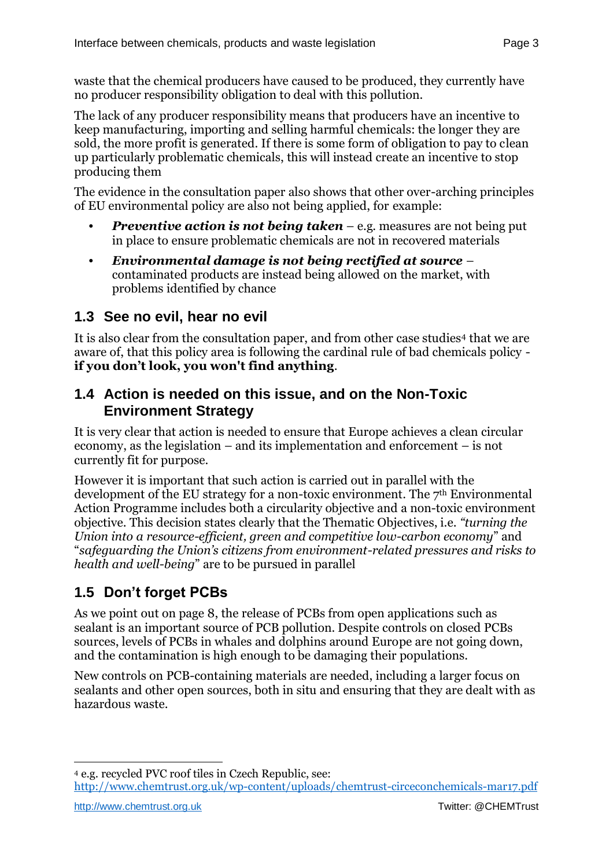waste that the chemical producers have caused to be produced, they currently have no producer responsibility obligation to deal with this pollution.

The lack of any producer responsibility means that producers have an incentive to keep manufacturing, importing and selling harmful chemicals: the longer they are sold, the more profit is generated. If there is some form of obligation to pay to clean up particularly problematic chemicals, this will instead create an incentive to stop producing them

The evidence in the consultation paper also shows that other over-arching principles of EU environmental policy are also not being applied, for example:

- **Preventive action is not being taken** e.g. measures are not being put in place to ensure problematic chemicals are not in recovered materials
- <span id="page-2-3"></span>**•** *Environmental damage is not being rectified at source* – contaminated products are instead being allowed on the market, with problems identified by chance

## <span id="page-2-0"></span>**1.3 See no evil, hear no evil**

It is also clear from the consultation paper, and from other case studies<sup>4</sup> that we are aware of, that this policy area is following the cardinal rule of bad chemicals policy **if you don't look, you won't find anything**.

### <span id="page-2-1"></span>**1.4 Action is needed on this issue, and on the Non-Toxic Environment Strategy**

It is very clear that action is needed to ensure that Europe achieves a clean circular economy, as the legislation – and its implementation and enforcement – is not currently fit for purpose.

However it is important that such action is carried out in parallel with the development of the EU strategy for a non-toxic environment. The 7<sup>th</sup> Environmental Action Programme includes both a circularity objective and a non-toxic environment objective. This decision states clearly that the Thematic Objectives, i.e. *"turning the Union into a resource-efficient, green and competitive low-carbon economy*" and "*safeguarding the Union's citizens from environment-related pressures and risks to health and well-being*" are to be pursued in parallel

## <span id="page-2-2"></span>**1.5 Don't forget PCBs**

As we point out on page [8,](#page-7-4) the release of PCBs from open applications such as sealant is an important source of PCB pollution. Despite controls on closed PCBs sources, levels of PCBs in whales and dolphins around Europe are not going down, and the contamination is high enough to be damaging their populations.

New controls on PCB-containing materials are needed, including a larger focus on sealants and other open sources, both in situ and ensuring that they are dealt with as hazardous waste.

 $\overline{a}$ <sup>4</sup> e.g. recycled PVC roof tiles in Czech Republic, see: <http://www.chemtrust.org.uk/wp-content/uploads/chemtrust-circeconchemicals-mar17.pdf>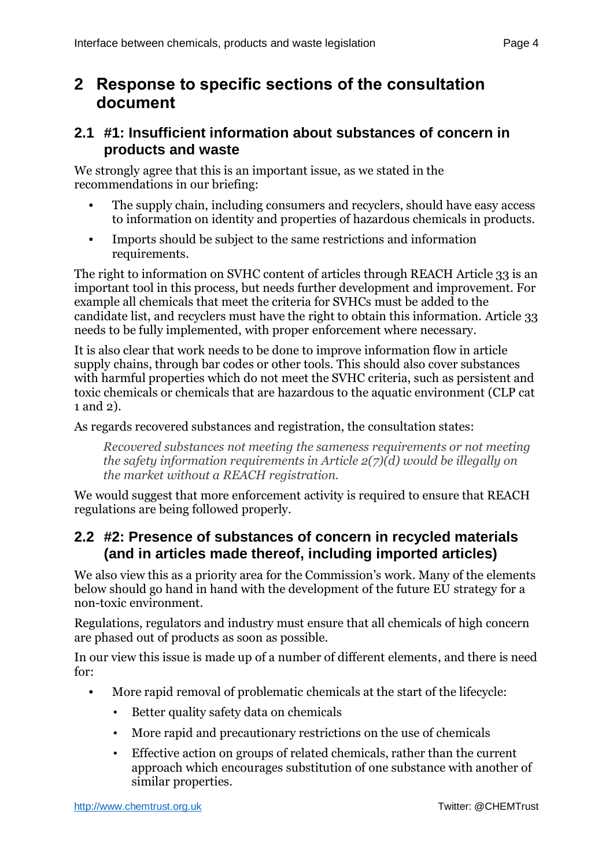## <span id="page-3-0"></span>**2 Response to specific sections of the consultation document**

### <span id="page-3-1"></span>**2.1 #1: Insufficient information about substances of concern in products and waste**

We strongly agree that this is an important issue, as we stated in the recommendations in our briefing:

- **•** The supply chain, including consumers and recyclers, should have easy access to information on identity and properties of hazardous chemicals in products.
- **•** Imports should be subject to the same restrictions and information requirements.

The right to information on SVHC content of articles through REACH Article 33 is an important tool in this process, but needs further development and improvement. For example all chemicals that meet the criteria for SVHCs must be added to the candidate list, and recyclers must have the right to obtain this information. Article 33 needs to be fully implemented, with proper enforcement where necessary.

It is also clear that work needs to be done to improve information flow in article supply chains, through bar codes or other tools. This should also cover substances with harmful properties which do not meet the SVHC criteria, such as persistent and toxic chemicals or chemicals that are hazardous to the aquatic environment (CLP cat 1 and 2).

As regards recovered substances and registration, the consultation states:

*Recovered substances not meeting the sameness requirements or not meeting the safety information requirements in Article 2(7)(d) would be illegally on the market without a REACH registration.* 

We would suggest that more enforcement activity is required to ensure that REACH regulations are being followed properly.

## <span id="page-3-2"></span>**2.2 #2: Presence of substances of concern in recycled materials (and in articles made thereof, including imported articles)**

We also view this as a priority area for the Commission's work. Many of the elements below should go hand in hand with the development of the future EU strategy for a non-toxic environment.

Regulations, regulators and industry must ensure that all chemicals of high concern are phased out of products as soon as possible.

In our view this issue is made up of a number of different elements, and there is need for:

- **•** More rapid removal of problematic chemicals at the start of the lifecycle:
	- Better quality safety data on chemicals
	- More rapid and precautionary restrictions on the use of chemicals
	- Effective action on groups of related chemicals, rather than the current approach which encourages substitution of one substance with another of similar properties.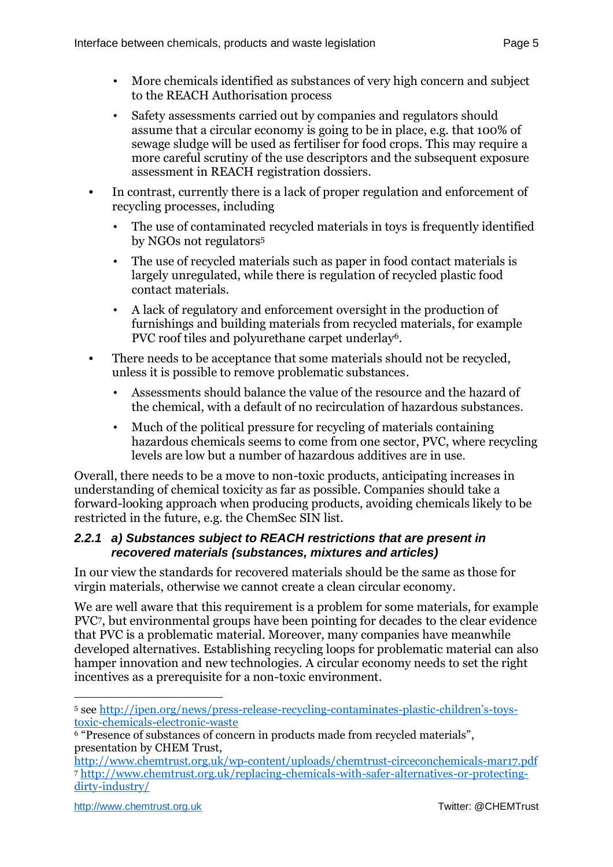- More chemicals identified as substances of very high concern and subject to the REACH Authorisation process
- Safety assessments carried out by companies and regulators should assume that a circular economy is going to be in place, e.g. that 100% of sewage sludge will be used as fertiliser for food crops. This may require a more careful scrutiny of the use descriptors and the subsequent exposure assessment in REACH registration dossiers.
- **•** In contrast, currently there is a lack of proper regulation and enforcement of recycling processes, including
	- The use of contaminated recycled materials in toys is frequently identified by NGOs not regulators<sup>5</sup>
	- The use of recycled materials such as paper in food contact materials is largely unregulated, while there is regulation of recycled plastic food contact materials.
	- A lack of regulatory and enforcement oversight in the production of furnishings and building materials from recycled materials, for example PVC roof tiles and polyurethane carpet underlay<sup>6</sup>.
- **•** There needs to be acceptance that some materials should not be recycled, unless it is possible to remove problematic substances.
	- Assessments should balance the value of the resource and the hazard of the chemical, with a default of no recirculation of hazardous substances.
	- Much of the political pressure for recycling of materials containing hazardous chemicals seems to come from one sector, PVC, where recycling levels are low but a number of hazardous additives are in use.

Overall, there needs to be a move to non-toxic products, anticipating increases in understanding of chemical toxicity as far as possible. Companies should take a forward-looking approach when producing products, avoiding chemicals likely to be restricted in the future, e.g. the ChemSec SIN list.

#### <span id="page-4-0"></span>*2.2.1 a) Substances subject to REACH restrictions that are present in recovered materials (substances, mixtures and articles)*

In our view the standards for recovered materials should be the same as those for virgin materials, otherwise we cannot create a clean circular economy.

We are well aware that this requirement is a problem for some materials, for example PVC7, but environmental groups have been pointing for decades to the clear evidence that PVC is a problematic material. Moreover, many companies have meanwhile developed alternatives. Establishing recycling loops for problematic material can also hamper innovation and new technologies. A circular economy needs to set the right incentives as a prerequisite for a non-toxic environment.

 $\overline{a}$ <sup>5</sup> see [http://ipen.org/news/press-release-recycling-contaminates-plastic-](http://ipen.org/news/press-release-recycling-contaminates-plastic-children)children's-toys[toxic-chemicals-electronic-waste](http://ipen.org/news/press-release-recycling-contaminates-plastic-children)

<sup>6</sup> "Presence of substances of concern in products made from recycled materials", presentation by CHEM Trust,

<http://www.chemtrust.org.uk/wp-content/uploads/chemtrust-circeconchemicals-mar17.pdf> <sup>7</sup> [http://www.chemtrust.org.uk/replacing-chemicals-with-safer-alternatives-or-protecting](http://www.chemtrust.org.uk/replacing-chemicals-with-safer-alternatives-or-protecting-dirty-industry/)[dirty-industry/](http://www.chemtrust.org.uk/replacing-chemicals-with-safer-alternatives-or-protecting-dirty-industry/)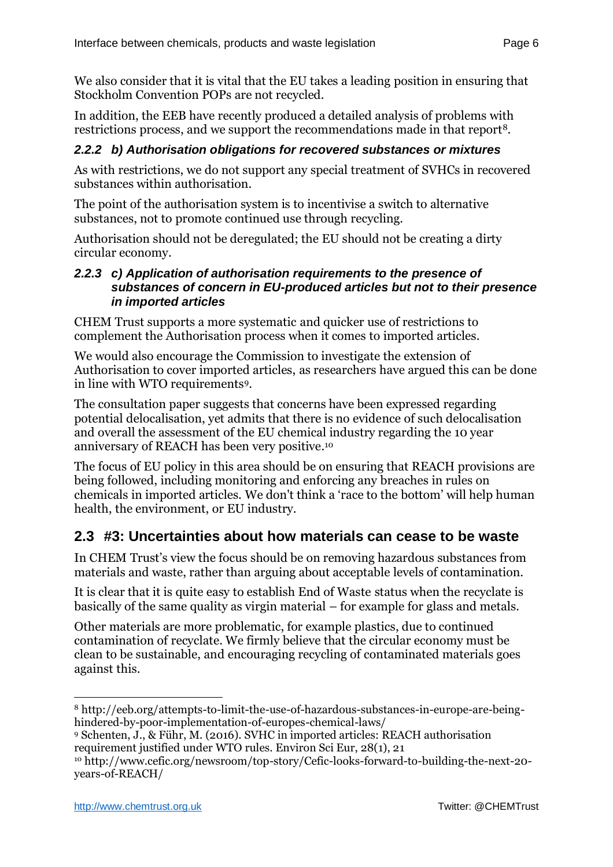We also consider that it is vital that the EU takes a leading position in ensuring that Stockholm Convention POPs are not recycled.

In addition, the EEB have recently produced a detailed analysis of problems with restrictions process, and we support the recommendations made in that report8.

#### <span id="page-5-0"></span>*2.2.2 b) Authorisation obligations for recovered substances or mixtures*

As with restrictions, we do not support any special treatment of SVHCs in recovered substances within authorisation.

The point of the authorisation system is to incentivise a switch to alternative substances, not to promote continued use through recycling.

Authorisation should not be deregulated; the EU should not be creating a dirty circular economy.

#### <span id="page-5-1"></span>*2.2.3 c) Application of authorisation requirements to the presence of substances of concern in EU-produced articles but not to their presence in imported articles*

CHEM Trust supports a more systematic and quicker use of restrictions to complement the Authorisation process when it comes to imported articles.

We would also encourage the Commission to investigate the extension of Authorisation to cover imported articles, as researchers have argued this can be done in line with WTO requirements9.

The consultation paper suggests that concerns have been expressed regarding potential delocalisation, yet admits that there is no evidence of such delocalisation and overall the assessment of the EU chemical industry regarding the 10 year anniversary of REACH has been very positive. 10

The focus of EU policy in this area should be on ensuring that REACH provisions are being followed, including monitoring and enforcing any breaches in rules on chemicals in imported articles. We don't think a 'race to the bottom' will help human health, the environment, or EU industry.

## <span id="page-5-2"></span>**2.3 #3: Uncertainties about how materials can cease to be waste**

In CHEM Trust's view the focus should be on removing hazardous substances from materials and waste, rather than arguing about acceptable levels of contamination.

It is clear that it is quite easy to establish End of Waste status when the recyclate is basically of the same quality as virgin material – for example for glass and metals.

Other materials are more problematic, for example plastics, due to continued contamination of recyclate. We firmly believe that the circular economy must be clean to be sustainable, and encouraging recycling of contaminated materials goes against this.

 $\overline{a}$ <sup>8</sup> http://eeb.org/attempts-to-limit-the-use-of-hazardous-substances-in-europe-are-beinghindered-by-poor-implementation-of-europes-chemical-laws/

<sup>9</sup> Schenten, J., & Führ, M. (2016). SVHC in imported articles: REACH authorisation requirement justified under WTO rules. Environ Sci Eur, 28(1), 21

<sup>10</sup> [http://www.cefic.org/newsroom/top-story/Cefic-looks-forward-to-building-the-next-20](http://www.cefic.org/newsroom/top-story/Cefic-looks-forward-to-building-the-next-20-years-of-REACH/) [years-of-REACH/](http://www.cefic.org/newsroom/top-story/Cefic-looks-forward-to-building-the-next-20-years-of-REACH/)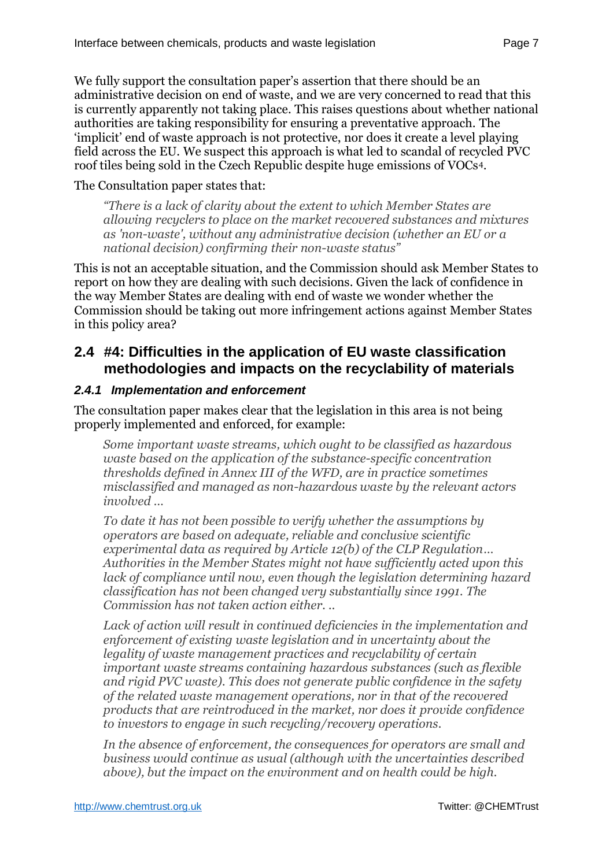We fully support the consultation paper's assertion that there should be an administrative decision on end of waste, and we are very concerned to read that this is currently apparently not taking place. This raises questions about whether national authorities are taking responsibility for ensuring a preventative approach. The 'implicit' end of waste approach is not protective, nor does it create a level playing field across the EU. We suspect this approach is what led to scandal of recycled PVC roof tiles being sold in the Czech Republic despite huge emissions of VOCs[4](#page-2-3).

#### The Consultation paper states that:

*"There is a lack of clarity about the extent to which Member States are allowing recyclers to place on the market recovered substances and mixtures as 'non-waste', without any administrative decision (whether an EU or a national decision) confirming their non-waste status"*

This is not an acceptable situation, and the Commission should ask Member States to report on how they are dealing with such decisions. Given the lack of confidence in the way Member States are dealing with end of waste we wonder whether the Commission should be taking out more infringement actions against Member States in this policy area?

### <span id="page-6-0"></span>**2.4 #4: Difficulties in the application of EU waste classification methodologies and impacts on the recyclability of materials**

#### <span id="page-6-1"></span>*2.4.1 Implementation and enforcement*

The consultation paper makes clear that the legislation in this area is not being properly implemented and enforced, for example:

*Some important waste streams, which ought to be classified as hazardous waste based on the application of the substance-specific concentration thresholds defined in Annex III of the WFD, are in practice sometimes misclassified and managed as non-hazardous waste by the relevant actors involved …*

*To date it has not been possible to verify whether the assumptions by operators are based on adequate, reliable and conclusive scientific experimental data as required by Article 12(b) of the CLP Regulation… Authorities in the Member States might not have sufficiently acted upon this lack of compliance until now, even though the legislation determining hazard classification has not been changed very substantially since 1991. The Commission has not taken action either. ..*

*Lack of action will result in continued deficiencies in the implementation and enforcement of existing waste legislation and in uncertainty about the legality of waste management practices and recyclability of certain important waste streams containing hazardous substances (such as flexible and rigid PVC waste). This does not generate public confidence in the safety of the related waste management operations, nor in that of the recovered products that are reintroduced in the market, nor does it provide confidence to investors to engage in such recycling/recovery operations.* 

*In the absence of enforcement, the consequences for operators are small and business would continue as usual (although with the uncertainties described above), but the impact on the environment and on health could be high.*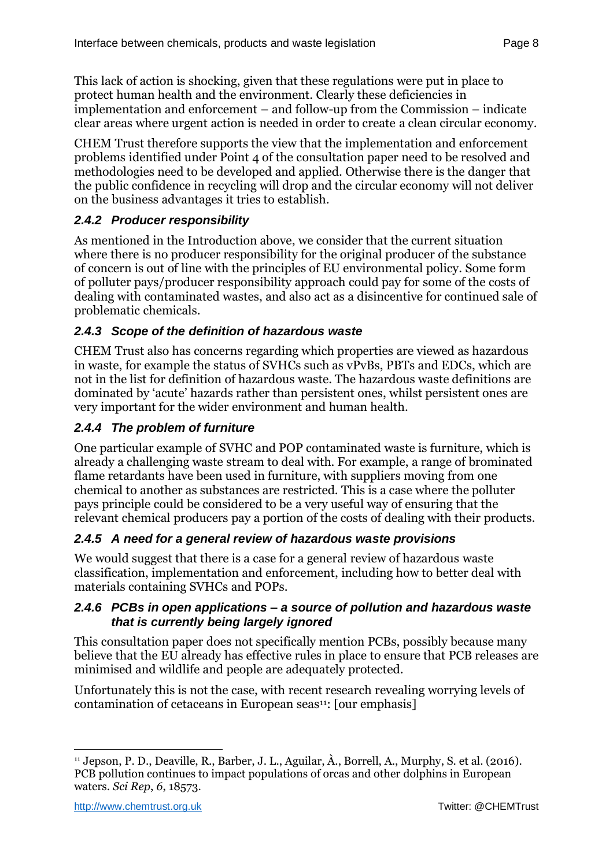This lack of action is shocking, given that these regulations were put in place to protect human health and the environment. Clearly these deficiencies in implementation and enforcement – and follow-up from the Commission – indicate clear areas where urgent action is needed in order to create a clean circular economy.

CHEM Trust therefore supports the view that the implementation and enforcement problems identified under Point 4 of the consultation paper need to be resolved and methodologies need to be developed and applied. Otherwise there is the danger that the public confidence in recycling will drop and the circular economy will not deliver on the business advantages it tries to establish.

## <span id="page-7-0"></span>*2.4.2 Producer responsibility*

As mentioned in the Introduction above, we consider that the current situation where there is no producer responsibility for the original producer of the substance of concern is out of line with the principles of EU environmental policy. Some form of polluter pays/producer responsibility approach could pay for some of the costs of dealing with contaminated wastes, and also act as a disincentive for continued sale of problematic chemicals.

## <span id="page-7-1"></span>*2.4.3 Scope of the definition of hazardous waste*

CHEM Trust also has concerns regarding which properties are viewed as hazardous in waste, for example the status of SVHCs such as vPvBs, PBTs and EDCs, which are not in the list for definition of hazardous waste. The hazardous waste definitions are dominated by 'acute' hazards rather than persistent ones, whilst persistent ones are very important for the wider environment and human health.

## <span id="page-7-2"></span>*2.4.4 The problem of furniture*

One particular example of SVHC and POP contaminated waste is furniture, which is already a challenging waste stream to deal with. For example, a range of brominated flame retardants have been used in furniture, with suppliers moving from one chemical to another as substances are restricted. This is a case where the polluter pays principle could be considered to be a very useful way of ensuring that the relevant chemical producers pay a portion of the costs of dealing with their products.

### <span id="page-7-3"></span>*2.4.5 A need for a general review of hazardous waste provisions*

We would suggest that there is a case for a general review of hazardous waste classification, implementation and enforcement, including how to better deal with materials containing SVHCs and POPs.

#### <span id="page-7-4"></span>*2.4.6 PCBs in open applications – a source of pollution and hazardous waste that is currently being largely ignored*

This consultation paper does not specifically mention PCBs, possibly because many believe that the EU already has effective rules in place to ensure that PCB releases are minimised and wildlife and people are adequately protected.

Unfortunately this is not the case, with recent research revealing worrying levels of contamination of cetaceans in European seas<sup>11</sup>: [our emphasis]

 $\overline{a}$ <sup>11</sup> Jepson, P. D., Deaville, R., Barber, J. L., Aguilar, À., Borrell, A., Murphy, S. et al. (2016). PCB pollution continues to impact populations of orcas and other dolphins in European waters. *Sci Rep*, *6*, 18573.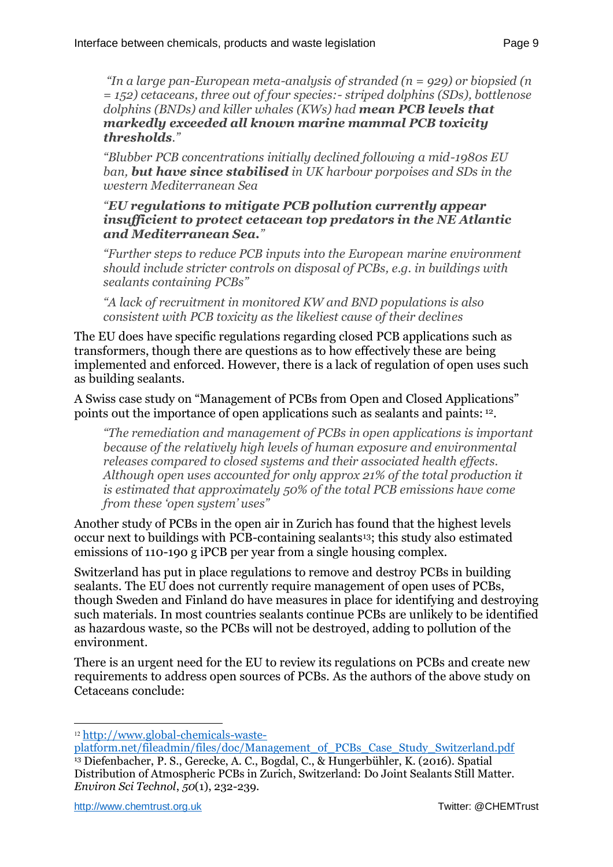*"In a large pan-European meta-analysis of stranded (n = 929) or biopsied (n = 152) cetaceans, three out of four species:- striped dolphins (SDs), bottlenose dolphins (BNDs) and killer whales (KWs) had mean PCB levels that markedly exceeded all known marine mammal PCB toxicity thresholds."*

*"Blubber PCB concentrations initially declined following a mid-1980s EU ban, but have since stabilised in UK harbour porpoises and SDs in the western Mediterranean Sea* 

#### *"EU regulations to mitigate PCB pollution currently appear insufficient to protect cetacean top predators in the NE Atlantic and Mediterranean Sea."*

*"Further steps to reduce PCB inputs into the European marine environment should include stricter controls on disposal of PCBs, e.g. in buildings with sealants containing PCBs"*

*"A lack of recruitment in monitored KW and BND populations is also consistent with PCB toxicity as the likeliest cause of their declines* 

The EU does have specific regulations regarding closed PCB applications such as transformers, though there are questions as to how effectively these are being implemented and enforced. However, there is a lack of regulation of open uses such as building sealants.

A Swiss case study on "Management of PCBs from Open and Closed Applications" points out the importance of open applications such as sealants and paints: <sup>12</sup>.

*"The remediation and management of PCBs in open applications is important because of the relatively high levels of human exposure and environmental releases compared to closed systems and their associated health effects. Although open uses accounted for only approx 21% of the total production it is estimated that approximately 50% of the total PCB emissions have come from these 'open system' uses"*

Another study of PCBs in the open air in Zurich has found that the highest levels occur next to buildings with PCB-containing sealants13; this study also estimated emissions of 110-190 g iPCB per year from a single housing complex.

Switzerland has put in place regulations to remove and destroy PCBs in building sealants. The EU does not currently require management of open uses of PCBs, though Sweden and Finland do have measures in place for identifying and destroying such materials. In most countries sealants continue PCBs are unlikely to be identified as hazardous waste, so the PCBs will not be destroyed, adding to pollution of the environment.

There is an urgent need for the EU to review its regulations on PCBs and create new requirements to address open sources of PCBs. As the authors of the above study on Cetaceans conclude:

 $\overline{a}$ 

<sup>12</sup> [http://www.global-chemicals-waste-](http://www.global-chemicals-waste-platform.net/fileadmin/files/doc/Management_of_PCBs_Case_Study_Switzerland.pdf)

[platform.net/fileadmin/files/doc/Management\\_of\\_PCBs\\_Case\\_Study\\_Switzerland.pdf](http://www.global-chemicals-waste-platform.net/fileadmin/files/doc/Management_of_PCBs_Case_Study_Switzerland.pdf) <sup>13</sup> Diefenbacher, P. S., Gerecke, A. C., Bogdal, C., & Hungerbühler, K. (2016). Spatial Distribution of Atmospheric PCBs in Zurich, Switzerland: Do Joint Sealants Still Matter. *Environ Sci Technol*, *50*(1), 232-239.